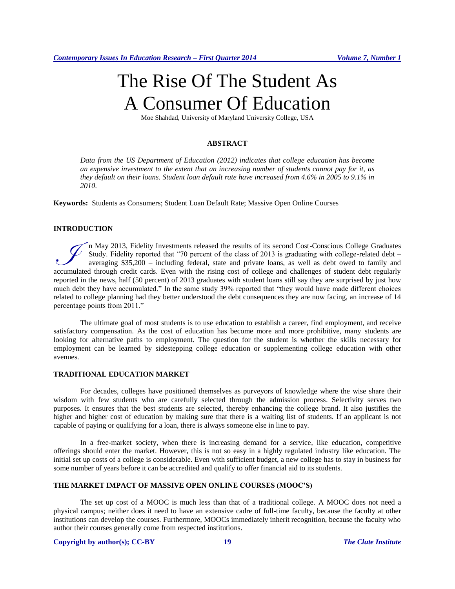# The Rise Of The Student As A Consumer Of Education

Moe Shahdad, University of Maryland University College, USA

# **ABSTRACT**

*Data from the US Department of Education (2012) indicates that college education has become an expensive investment to the extent that an increasing number of students cannot pay for it, as they default on their loans. Student loan default rate have increased from 4.6% in 2005 to 9.1% in 2010.*

**Keywords:** Students as Consumers; Student Loan Default Rate; Massive Open Online Courses

# **INTRODUCTION**

n May 2013, Fidelity Investments released the results of its second Cost-Conscious College Graduates Study. Fidelity reported that "70 percent of the class of 2013 is graduating with college-related debt – averaging \$35,200 – including federal, state and private loans, as well as debt owed to family and The May 2013, Fidelity Investments released the results of its second Cost-Conscious College Graduates<br>Study. Fidelity reported that "70 percent of the class of 2013 is graduating with college-related debt -<br>averaging \$35, reported in the news, half (50 percent) of 2013 graduates with student loans still say they are surprised by just how much debt they have accumulated." In the same study 39% reported that "they would have made different choices related to college planning had they better understood the debt consequences they are now facing, an increase of 14 percentage points from 2011."

The ultimate goal of most students is to use education to establish a career, find employment, and receive satisfactory compensation. As the cost of education has become more and more prohibitive, many students are looking for alternative paths to employment. The question for the student is whether the skills necessary for employment can be learned by sidestepping college education or supplementing college education with other avenues.

# **TRADITIONAL EDUCATION MARKET**

For decades, colleges have positioned themselves as purveyors of knowledge where the wise share their wisdom with few students who are carefully selected through the admission process. Selectivity serves two purposes. It ensures that the best students are selected, thereby enhancing the college brand. It also justifies the higher and higher cost of education by making sure that there is a waiting list of students. If an applicant is not capable of paying or qualifying for a loan, there is always someone else in line to pay.

In a free-market society, when there is increasing demand for a service, like education, competitive offerings should enter the market. However, this is not so easy in a highly regulated industry like education. The initial set up costs of a college is considerable. Even with sufficient budget, a new college has to stay in business for some number of years before it can be accredited and qualify to offer financial aid to its students.

#### **THE MARKET IMPACT OF MASSIVE OPEN ONLINE COURSES (MOOC'S)**

The set up cost of a MOOC is much less than that of a traditional college. A MOOC does not need a physical campus; neither does it need to have an extensive cadre of full-time faculty, because the faculty at other institutions can develop the courses. Furthermore, MOOCs immediately inherit recognition, because the faculty who author their courses generally come from respected institutions.

#### **Copyright by author(s)[; CC-BY](http://creativecommons.org/licenses/by/3.0/) 19** *[The Clute Institute](http://www.cluteinstitute.com/)*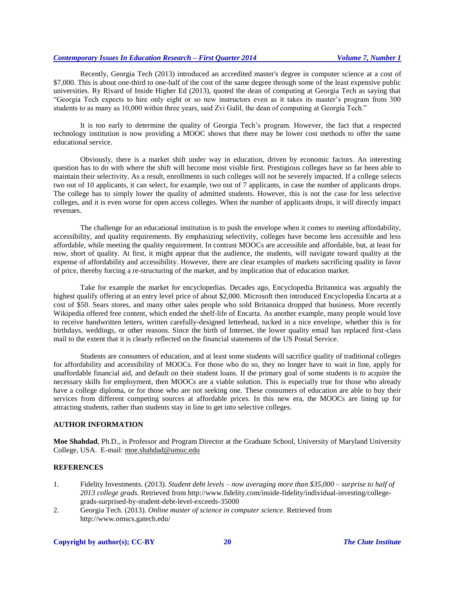# *Contemporary Issues In Education Research – First Quarter 2014 Volume 7, Number 1*

Recently, Georgia Tech (2013) introduced an accredited master's degree in computer science at a cost of \$7,000. This is about one-third to one-half of the cost of the same degree through some of the least expensive public universities. Ry Rivard of Inside Higher Ed (2013), quoted the dean of computing at Georgia Tech as saying that "Georgia Tech expects to hire only eight or so new instructors even as it takes its master's program from 300 students to as many as 10,000 within three years, said Zvi Galil, the dean of computing at Georgia Tech."

It is too early to determine the quality of Georgia Tech's program. However, the fact that a respected technology institution is now providing a MOOC shows that there may be lower cost methods to offer the same educational service.

Obviously, there is a market shift under way in education, driven by economic factors. An interesting question has to do with where the shift will become most visible first. Prestigious colleges have so far been able to maintain their selectivity. As a result, enrollments in such colleges will not be severely impacted. If a college selects two out of 10 applicants, it can select, for example, two out of 7 applicants, in case the number of applicants drops. The college has to simply lower the quality of admitted students. However, this is not the case for less selective colleges, and it is even worse for open access colleges. When the number of applicants drops, it will directly impact revenues.

The challenge for an educational institution is to push the envelope when it comes to meeting affordability, accessibility, and quality requirements. By emphasizing selectivity, colleges have become less accessible and less affordable, while meeting the quality requirement. In contrast MOOCs are accessible and affordable, but, at least for now, short of quality. At first, it might appear that the audience, the students, will navigate toward quality at the expense of affordability and accessibility. However, there are clear examples of markets sacrificing quality in favor of price, thereby forcing a re-structuring of the market, and by implication that of education market.

Take for example the market for encyclopedias. Decades ago, Encyclopedia Britannica was arguably the highest qualify offering at an entry level price of about \$2,000. Microsoft then introduced Encyclopedia Encarta at a cost of \$50. Sears stores, and many other sales people who sold Britannica dropped that business. More recently Wikipedia offered free content, which ended the shelf-life of Encarta. As another example, many people would love to receive handwritten letters, written carefully-designed letterhead, tucked in a nice envelope, whether this is for birthdays, weddings, or other reasons. Since the birth of Internet, the lower quality email has replaced first-class mail to the extent that it is clearly reflected on the financial statements of the US Postal Service.

Students are consumers of education, and at least some students will sacrifice quality of traditional colleges for affordability and accessibility of MOOCs. For those who do so, they no longer have to wait in line, apply for unaffordable financial aid, and default on their student loans. If the primary goal of some students is to acquire the necessary skills for employment, then MOOCs are a viable solution. This is especially true for those who already have a college diploma, or for those who are not seeking one. These consumers of education are able to buy their services from different competing sources at affordable prices. In this new era, the MOOCs are lining up for attracting students, rather than students stay in line to get into selective colleges.

# **AUTHOR INFORMATION**

**Moe Shahdad**, Ph.D., is Professor and Program Director at the Graduate School, University of Maryland University College, USA. E-mail: moe.shahdad@umuc.edu

### **REFERENCES**

- 1. Fidelity Investments. (2013). *Student debt levels – now averaging more than \$35,000 – surprise to half of 2013 college grads*. Retrieved from [http://www.fidelity.com/inside-fidelity/individual-investing/college](http://www.fidelity.com/inside-fidelity/individual-investing/college-grads-surprised-by-student-debt-level-exceeds-35000)[grads-surprised-by-student-debt-level-exceeds-35000](http://www.fidelity.com/inside-fidelity/individual-investing/college-grads-surprised-by-student-debt-level-exceeds-35000)
- 2. Georgia Tech. (2013). *Online master of science in computer science*. Retrieved from <http://www.omscs.gatech.edu/>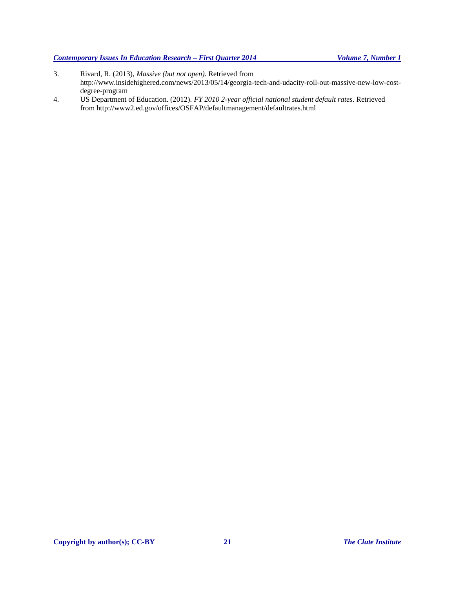3. Rivard, R. (2013), *Massive (but not open)*. Retrieved from

[http://www.insidehighered.com/news/2013/05/14/georgia-tech-and-udacity-roll-out-massive-new-low-cost-](http://www.insidehighered.com/news/2013/05/14/georgia-tech-and-udacity-roll-out-massive-new-low-cost-degree-program)

4. US Department of Education. (2012). *FY 2010 2-year official national student default rates*. Retrieved

from<http://www2.ed.gov/offices/OSFAP/defaultmanagement/defaultrates.html>

[degree-program](http://www.insidehighered.com/news/2013/05/14/georgia-tech-and-udacity-roll-out-massive-new-low-cost-degree-program)